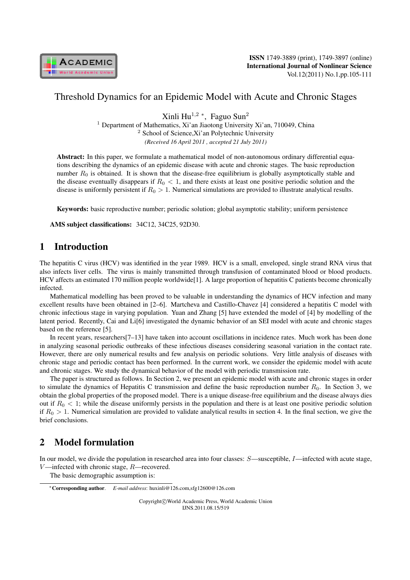

## Threshold Dynamics for an Epidemic Model with Acute and Chronic Stages

Xinli Hu<sup>1</sup>*,*<sup>2</sup> *<sup>∗</sup>* , Faguo Sun<sup>2</sup>

<sup>1</sup> Department of Mathematics, Xi'an Jiaotong University Xi'an, 710049, China <sup>2</sup> School of Science,Xi'an Polytechnic University *(Received 16 April 2011 , accepted 21 July 2011)*

Abstract: In this paper, we formulate a mathematical model of non-autonomous ordinary differential equations describing the dynamics of an epidemic disease with acute and chronic stages. The basic reproduction number  $R_0$  is obtained. It is shown that the disease-free equilibrium is globally asymptotically stable and the disease eventually disappears if  $R_0 < 1$ , and there exists at least one positive periodic solution and the disease is uniformly persistent if  $R_0 > 1$ . Numerical simulations are provided to illustrate analytical results.

Keywords: basic reproductive number; periodic solution; global asymptotic stability; uniform persistence

AMS subject classifications: 34C12, 34C25, 92D30.

# 1 Introduction

The hepatitis C virus (HCV) was identified in the year 1989. HCV is a small, enveloped, single strand RNA virus that also infects liver cells. The virus is mainly transmitted through transfusion of contaminated blood or blood products. HCV affects an estimated 170 million people worldwide[1]. A large proportion of hepatitis C patients become chronically infected.

Mathematical modelling has been proved to be valuable in understanding the dynamics of HCV infection and many excellent results have been obtained in [2–6]. Martcheva and Castillo-Chavez [4] considered a hepatitis C model with chronic infectious stage in varying population. Yuan and Zhang [5] have extended the model of [4] by modelling of the latent period. Recently, Cai and Li[6] investigated the dynamic behavior of an SEI model with acute and chronic stages based on the reference [5].

In recent years, researchers[7–13] have taken into account oscillations in incidence rates. Much work has been done in analyzing seasonal periodic outbreaks of these infectious diseases considering seasonal variation in the contact rate. However, there are only numerical results and few analysis on periodic solutions. Very little analysis of diseases with chronic stage and periodic contact has been performed. In the current work, we consider the epidemic model with acute and chronic stages. We study the dynamical behavior of the model with periodic transmission rate.

The paper is structured as follows. In Section 2, we present an epidemic model with acute and chronic stages in order to simulate the dynamics of Hepatitis C transmission and define the basic reproduction number  $R_0$ . In Section 3, we obtain the global properties of the proposed model. There is a unique disease-free equilibrium and the disease always dies out if  $R_0 < 1$ ; while the disease uniformly persists in the population and there is at least one positive periodic solution if  $R_0 > 1$ . Numerical simulation are provided to validate analytical results in section 4. In the final section, we give the brief conclusions.

# 2 Model formulation

In our model, we divide the population in researched area into four classes:  $S$ —susceptible,  $I$ —infected with acute stage,  $V$ —infected with chronic stage,  $R$ —recovered.

The basic demographic assumption is:

Copyright*⃝*c World Academic Press, World Academic Union IJNS.2011.08.15/519

*<sup>∗</sup>*Corresponding author. *E-mail address*: huxinli@126.com,sfg12600@126.com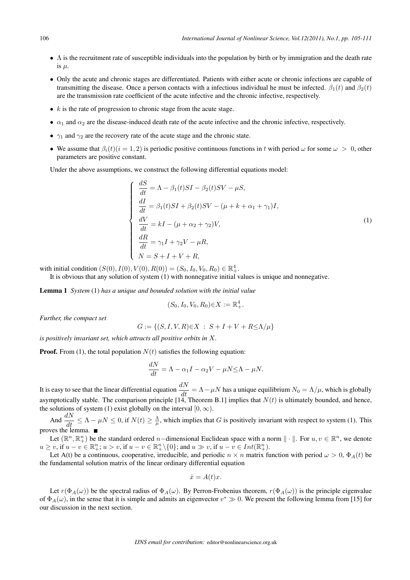- *∙* Λ is the recruitment rate of susceptible individuals into the population by birth or by immigration and the death rate is  $\mu$ .
- *∙* Only the acute and chronic stages are differentiated. Patients with either acute or chronic infections are capable of transmitting the disease. Once a person contacts with a infectious individual he must be infected.  $\beta_1(t)$  and  $\beta_2(t)$ are the transmission rate coefficient of the acute infective and the chronic infective, respectively.
- *• k* is the rate of progression to chronic stage from the acute stage.
- $\alpha_1$  and  $\alpha_2$  are the disease-induced death rate of the acute infective and the chronic infective, respectively.
- *•*  $\gamma_1$  and  $\gamma_2$  are the recovery rate of the acute stage and the chronic state.
- We assume that  $\beta_i(t)$  ( $i = 1, 2$ ) is periodic positive continuous functions in t with period  $\omega$  for some  $\omega > 0$ , other parameters are positive constant.

Under the above assumptions, we construct the following differential equations model:

$$
\begin{cases}\n\frac{dS}{dt} = \Lambda - \beta_1(t)SI - \beta_2(t)SV - \mu S, \\
\frac{dI}{dt} = \beta_1(t)SI + \beta_2(t)SV - (\mu + k + \alpha_1 + \gamma_1)I, \\
\frac{dV}{dt} = kI - (\mu + \alpha_2 + \gamma_2)V, \\
\frac{dR}{dt} = \gamma_1 I + \gamma_2 V - \mu R, \\
N = S + I + V + R,\n\end{cases}
$$
\n(1)

with initial condition  $(S(0), I(0), V(0), R(0)) = (S_0, I_0, V_0, R_0) \in \mathbb{R}^4_+$ .

It is obvious that any solution of system (1) with nonnegative initial values is unique and nonnegative.

Lemma 1 *System* (1) *has a unique and bounded solution with the initial value*

$$
(S_0, I_0, V_0, R_0) \in X := \mathbb{R}^4_+.
$$

*Further, the compact set*

$$
G := \{ (S, I, V, R) \in X : S + I + V + R \le \Lambda/\mu \}
$$

*is positively invariant set, which attracts all positive orbits in*  $X$ *.* 

**Proof.** From (1), the total population  $N(t)$  satisfies the following equation:

$$
\frac{dN}{dt} = \Lambda - \alpha_1 I - \alpha_2 V - \mu N \le \Lambda - \mu N.
$$

It is easy to see that the linear differential equation  $\frac{dN}{dt} = \Lambda - \mu N$  has a unique equilibrium  $N_0 = \Lambda/\mu$ , which is globally asymptotically stable. The comparison principle [14, Theorem B.1] implies that  $N(t)$  is ultimately bounded, and hence, the solutions of system (1) exist globally on the interval  $[0, \infty)$ .

And  $\frac{dN}{dt} \leq \Lambda - \mu N \leq 0$ , if  $N(t) \geq \frac{\Lambda}{\mu}$ , which implies that G is positively invariant with respect to system (1). This proves the lemma.  $\blacksquare$ 

Let  $(\mathbb{R}^n, \mathbb{R}^n_+)$  be the standard ordered *n*-dimensional Euclidean space with a norm  $\|\cdot\|$ . For  $u, v \in \mathbb{R}^n$ , we denote  $u \geq v$ , if  $u - v \in \mathbb{R}^n_+$ ;  $u > v$ , if  $u - v \in \mathbb{R}^n_+ \setminus \{0\}$ ; and  $u \gg v$ , if  $u - v \in Int(\mathbb{R}^n_+)$ .

Let A(t) be a continuous, cooperative, irreducible, and periodic  $n \times n$  matrix function with period  $\omega > 0$ ,  $\Phi_A(t)$  be the fundamental solution matrix of the linear ordinary differential equation

$$
\dot{x} = A(t)x.
$$

Let  $r(\Phi_A(\omega))$  be the spectral radius of  $\Phi_A(\omega)$ . By Perron-Frobenius theorem,  $r(\Phi_A(\omega))$  is the principle eigenvalue of  $\Phi_A(\omega)$ , in the sense that it is simple and admits an eigenvector  $v^* \gg 0$ . We present the following lemma from [15] for our discussion in the next section.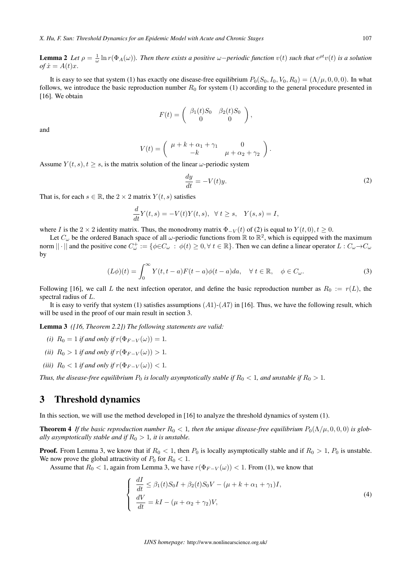**Lemma 2** Let  $\rho = \frac{1}{\omega} \ln r(\Phi_A(\omega))$ . Then there exists a positive  $\omega$ -periodic function  $v(t)$  such that  $e^{\rho t}v(t)$  is a solution  $\varphi f \dot{x} = A(t)x.$ 

It is easy to see that system (1) has exactly one disease-free equilibrium  $P_0(S_0, I_0, V_0, R_0) = (\Lambda/\mu, 0, 0, 0)$ . In what follows, we introduce the basic reproduction number  $R_0$  for system (1) according to the general procedure presented in [16]. We obtain

$$
F(t) = \begin{pmatrix} \beta_1(t)S_0 & \beta_2(t)S_0 \\ 0 & 0 \end{pmatrix}
$$

and

$$
V(t) = \begin{pmatrix} \mu + k + \alpha_1 + \gamma_1 & 0 \\ -k & \mu + \alpha_2 + \gamma_2 \end{pmatrix}.
$$

Assume  $Y(t, s)$ ,  $t > s$ , is the matrix solution of the linear  $\omega$ -periodic system

$$
\frac{dy}{dt} = -V(t)y.\tag{2}
$$

*,*

That is, for each  $s \in \mathbb{R}$ , the  $2 \times 2$  matrix  $Y(t, s)$  satisfies

$$
\frac{d}{dt}Y(t,s) = -V(t)Y(t,s), \quad \forall \ t \ge s, \quad Y(s,s) = I,
$$

where *I* is the 2 *×* 2 identity matrix. Thus, the monodromy matrix  $\Phi_{-V}(t)$  of (2) is equal to  $Y(t, 0), t \ge 0$ .

Let  $C_\omega$  be the ordered Banach space of all  $\omega$ -periodic functions from ℝ to ℝ<sup>2</sup>, which is equipped with the maximum norm  $||\cdot||$  and the positive cone  $C^{\perp}_{\omega} := \{\phi \in C_{\omega} : \phi(t) \geq 0, \forall t \in \mathbb{R}\}\.$  Then we can define a linear operator  $L : C_{\omega} \to C_{\omega}$ by

$$
(L\phi)(t) = \int_0^\infty Y(t, t - a)F(t - a)\phi(t - a)da, \quad \forall \ t \in \mathbb{R}, \quad \phi \in C_\omega.
$$
 (3)

Following [16], we call L the next infection operator, and define the basic reproduction number as  $R_0 := r(L)$ , the spectral radius of  $L$ .

It is easy to verify that system (1) satisfies assumptions  $(A1)-(A7)$  in [16]. Thus, we have the following result, which will be used in the proof of our main result in section 3.

Lemma 3 *([16, Theorem 2.2]) The following statements are valid:*

- *(i)*  $R_0 = 1$  *if and only if*  $r(\Phi_{F-V}(\omega)) = 1$ *.*
- *(ii)*  $R_0 > 1$  *if and only if*  $r(\Phi_{F-V}(\omega)) > 1$ *.*
- *(iii)*  $R_0 < 1$  *if and only if*  $r(\Phi_{F-V}(\omega)) < 1$ *.*

*Thus, the disease-free equilibrium*  $P_0$  *is locally asymptotically stable if*  $R_0 < 1$ *, and unstable if*  $R_0 > 1$ *.* 

### 3 Threshold dynamics

In this section, we will use the method developed in [16] to analyze the threshold dynamics of system (1).

**Theorem 4** If the basic reproduction number  $R_0 < 1$ , then the unique disease-free equilibrium  $P_0(\Lambda/\mu, 0, 0, 0)$  is glob*ally asymptotically stable and if*  $R_0 > 1$ *, it is unstable.* 

**Proof.** From Lemma 3, we know that if  $R_0 < 1$ , then  $P_0$  is locally asymptotically stable and if  $R_0 > 1$ ,  $P_0$  is unstable. We now prove the global attractivity of  $P_0$  for  $R_0 < 1$ .

Assume that  $R_0 < 1$ , again from Lemma 3, we have  $r(\Phi_{F-V}(\omega)) < 1$ . From (1), we know that

$$
\begin{cases}\n\frac{dI}{dt} \leq \beta_1(t)S_0I + \beta_2(t)S_0V - (\mu + k + \alpha_1 + \gamma_1)I, \\
\frac{dV}{dt} = kI - (\mu + \alpha_2 + \gamma_2)V,\n\end{cases}
$$
\n(4)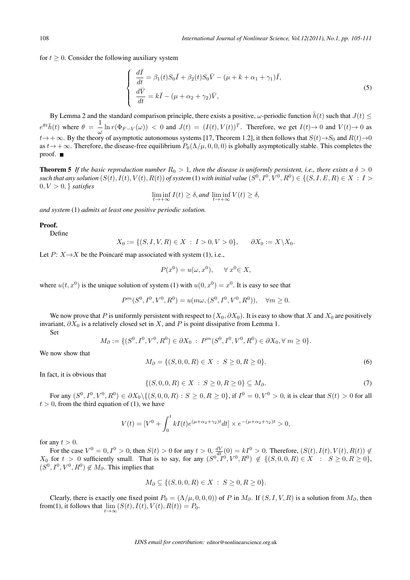for  $t \geq 0$ . Consider the following auxiliary system

$$
\begin{cases}\n\frac{d\bar{I}}{dt} = \beta_1(t)S_0\bar{I} + \beta_2(t)S_0\bar{V} - (\mu + k + \alpha_1 + \gamma_1)\bar{I}, \\
\frac{d\bar{V}}{dt} = k\bar{I} - (\mu + \alpha_2 + \gamma_2)\bar{V},\n\end{cases}
$$
\n(5)

By Lemma 2 and the standard comparison principle, there exists a positive,  $\omega$ -periodic function  $\bar{h}(t)$  such that  $J(t) \leq$  $e^{\theta t} \bar{h}(t)$  where  $\theta = \frac{1}{\sqrt{2}}$  $\frac{1}{\omega} \ln r(\Phi_{F-V}(\omega)) < 0$  and  $J(t) = (I(t), V(t))^T$ . Therefore, we get  $I(t) \to 0$  and  $V(t) \to 0$  as  $t\rightarrow+\infty$ . By the theory of asymptotic autonomous systems [17, Theorem 1.2], it then follows that  $S(t)\rightarrow S_0$  and  $R(t)\rightarrow 0$ as  $t \to +\infty$ . Therefore, the disease-free equilibrium  $P_0(\Lambda/\mu, 0, 0, 0)$  is globally asymptotically stable. This completes the proof. ■

**Theorem 5** If the basic reproduction number  $R_0 > 1$ , then the disease is uniformly persistent, i.e., there exists a  $\delta > 0$  $s$  *such that any solution*  $(S(t), I(t), V(t), R(t))$  *of system* (1) *with initial value*  $(S^0, I^0, V^0, R^0) \in \{(S, I, E, R) \in X \, : \, I > 0\}$  $0, V > 0, \}$  *satisfies* 

$$
\liminf_{t \to +\infty} I(t) \ge \delta, \text{and } \liminf_{t \to +\infty} V(t) \ge \delta,
$$

*and system* (1) *admits at least one positive periodic solution.*

#### Proof.

Define

$$
X_0 := \{ (S, I, V, R) \in X : I > 0, V > 0 \}, \quad \partial X_0 := X \backslash X_0.
$$

Let  $P: X \rightarrow X$  be the Poincaré map associated with system (1), i.e.,

$$
P(x^0) = u(\omega, x^0), \quad \forall x^0 \in X,
$$

where  $u(t, x^0)$  is the unique solution of system (1) with  $u(0, x^0) = x^0$ . It is easy to see that

$$
P^m(S^0, I^0, V^0, R^0) = u(m\omega, (S^0, I^0, V^0, R^0)), \quad \forall m \ge 0.
$$

We now prove that P is uniformly persistent with respect to  $(X_0, \partial X_0)$ . It is easy to show that X and  $X_0$  are positively invariant,  $\partial X_0$  is a relatively closed set in X, and P is point dissipative from Lemma 1.

Set

$$
M_{\partial} := \{ (S^0, I^0, V^0, R^0) \in \partial X_0 : P^m(S^0, I^0, V^0, R^0) \in \partial X_0, \forall m \ge 0 \}.
$$

We now show that

$$
M_{\partial} = \{ (S, 0, 0, R) \in X : S \ge 0, R \ge 0 \}.
$$
\n<sup>(6)</sup>

In fact, it is obvious that

$$
\{(S, 0, 0, R) \in X \; : \; S \ge 0, R \ge 0\} \subseteq M_{\partial}.
$$
\n(7)

For any ( 0 *,* <sup>0</sup> *,*  <sup>0</sup> *,* <sup>0</sup> ) *∈ ∂*0*∖{*(*,* 0*,* 0*,* ) : *≥* 0*, ≥* 0*}*, if <sup>0</sup> = 0*,*  <sup>0</sup> *>* 0, it is clear that () *>* 0 for all  $t > 0$ , from the third equation of (1), we have

$$
V(t) = [V0 + \int_0^t kI(t)e^{(\mu + \alpha_2 + \gamma_2)t}dt] \times e^{-(\mu + \alpha_2 + \gamma_2)t} > 0,
$$

for any  $t > 0$ .

For the case  $V^0 = 0, I^0 > 0$ , then  $S(t) > 0$  for any  $t > 0, \frac{dV}{dt}(0) = kI^0 > 0$ . Therefore,  $(S(t), I(t), V(t), R(t)) \notin$  $X_0$  for  $t > 0$  sufficiently small. That is to say, for any  $(S^0, I^0, V^0, R^0) \notin \{(S, 0, 0, R) \in X : S \ge 0, R \ge 0\}$ ,  $(S^0, I^0, V^0, R^0) \notin M_\partial$ . This implies that

$$
M_{\partial} \subseteq \{ (S, 0, 0, R) \in X : S \ge 0, R \ge 0 \}.
$$

Clearly, there is exactly one fixed point  $P_0 = (\Lambda/\mu, 0, 0, 0)$  of P in  $M_\partial$ . If  $(S, I, V, R)$  is a solution from  $M_\partial$ , then from(1), it follows that  $\lim_{t\to\infty} (S(t), I(t), V(t), R(t)) = P_0$ .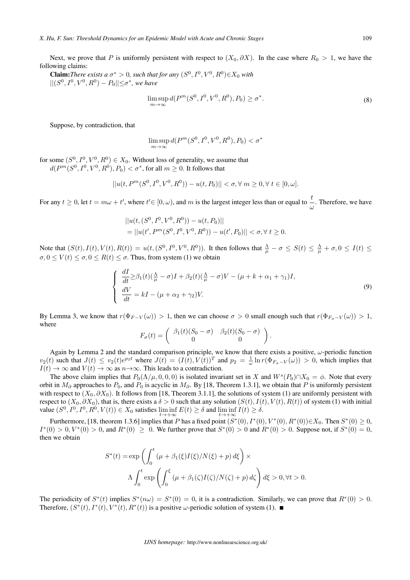Next, we prove that P is uniformly persistent with respect to  $(X_0, \partial X)$ . In the case where  $R_0 > 1$ , we have the following claims:

**Claim:** There exists a  $\sigma^* > 0$ , such that for any  $(S^0, I^0, V^0, R^0) \in X_0$  with *∣* $|(S^0, I^0, V^0, R^0) - P_0|$ |≤ $\sigma^*$ , we have

$$
\limsup_{m \to \infty} d(P^m(S^0, I^0, V^0, R^0), P_0) \ge \sigma^*.
$$
\n(8)

Suppose, by contradiction, that

$$
\limsup_{m \to \infty} d(P^m(S^0, I^0, V^0, R^0), P_0) < \sigma^*
$$

for some  $(S^0, I^0, V^0, R^0) \in X_0$ . Without loss of generality, we assume that  $d(P^m(S^0,I^0,V^0,R^0),P_0)<\sigma^*,$  for all  $m\geq 0.$  It follows that

$$
||u(t,P^m(S^0,I^0,V^0,R^0))-u(t,P_0)||<\sigma,\forall\;m\geq 0,\forall\;t\in[0,\omega].
$$

For any  $t \ge 0$ , let  $t = m\omega + t'$ , where  $t' \in [0, \omega)$ , and m is the largest integer less than or equal to  $\frac{t}{\omega}$ . Therefore, we have

$$
||u(t, (S^0, I^0, V^0, R^0)) - u(t, P_0)||
$$
  
= 
$$
||u(t', P^m(S^0, I^0, V^0, R^0)) - u(t', P_0)|| < \sigma, \forall t \ge 0.
$$

Note that  $(S(t), I(t), V(t), R(t)) = u(t, (S^0, I^0, V^0, R^0))$ . It then follows that  $\frac{\Lambda}{\mu} - \sigma \leq S(t) \leq \frac{\Lambda}{\mu} + \sigma, 0 \leq I(t) \leq \frac{\Lambda}{\mu}$  $\sigma, 0 \le V(t) \le \sigma, 0 \le R(t) \le \sigma$ . Thus, from system (1) we obtain

$$
\begin{cases}\n\frac{dI}{dt} \geq \beta_1(t) \left(\frac{\Lambda}{\mu} - \sigma\right) I + \beta_2(t) \left(\frac{\Lambda}{\mu} - \sigma\right) V - (\mu + k + \alpha_1 + \gamma_1) I, \\
\frac{dV}{dt} = kI - (\mu + \alpha_2 + \gamma_2) V.\n\end{cases} \tag{9}
$$

By Lemma 3, we know that  $r(\Phi_{F-V}(\omega)) > 1$ , then we can choose  $\sigma > 0$  small enough such that  $r(\Phi_{F_{\sigma}-V}(\omega)) > 1$ , where

$$
F_{\sigma}(t) = \begin{pmatrix} \beta_1(t)(S_0 - \sigma) & \beta_2(t)(S_0 - \sigma) \\ 0 & 0 \end{pmatrix}.
$$

Again by Lemma 2 and the standard comparison principle, we know that there exists a positive,  $\omega$ -periodic function  $v_2(t)$  such that  $J(t) \le v_2(t)e^{p_2t}$  where  $J(t) = (I(t), V(t))^T$  and  $p_2 = \frac{1}{\omega} \ln r(\Phi_{F_\sigma - V}(\omega)) > 0$ , which implies that  $I(t) \to \infty$  and  $V(t) \to \infty$  as  $n \to \infty$ . This leads to a contradiction.

The above claim implies that  $P_0(\Lambda/\mu, 0, 0, 0)$  is isolated invariant set in X and  $W^s(P_0) \cap X_0 = \phi$ . Note that every orbit in  $M_{\partial}$  approaches to  $P_0$ , and  $P_0$  is acyclic in  $M_{\partial}$ . By [18, Theorem 1.3.1], we obtain that  $P$  is uniformly persistent with respect to ( $X_0$ ,  $\partial X_0$ ). It follows from [18, Theorem 3.1.1], the solutions of system (1) are uniformly persistent with respect to  $(X_0, \partial X_0)$ , that is, there exists a  $\delta > 0$  such that any solution  $(S(t), I(t), V(t), R(t))$  of system (1) with initial value  $(S^0, I^0, I^0, R^0, V(t)) \in X_0$  satisfies  $\liminf_{t \to +\infty} E(t) \ge \delta$  and  $\liminf_{t \to +\infty} I(t) \ge \delta$ .

Furthermore, [18, theorem 1.3.6] implies that *P* has a fixed point  $(S^*(0), I^*(0), V^*(0), R^*(0)) \in X_0$ . Then  $S^*(0) \ge 0$ ,  $I^*(0) > 0, V^*(0) > 0$ *, and*  $R^*(0) ≥ 0$ *. We further prove that*  $S^*(0) > 0$  *and*  $R^*(0) > 0$ *. Suppose not, if*  $S^*(0) = 0$ *,* then we obtain

$$
S^*(t) = \exp\left(\int_0^t (\mu + \beta_1(\xi)I(\xi)/N(\xi) + p) d\xi\right) \times
$$

$$
\Lambda \int_0^t \exp\left(\int_0^{\xi} (\mu + \beta_1(\zeta)I(\zeta)/N(\zeta) + p) d\zeta\right) d\xi > 0, \forall t > 0.
$$

The periodicity of  $S^*(t)$  implies  $S^*(n\omega) = S^*(0) = 0$ , it is a contradiction. Similarly, we can prove that  $R^*(0) > 0$ . Therefore,  $(S^*(t), I^*(t), V^*(t), R^*(t))$  is a positive  $\omega$ -periodic solution of system (1).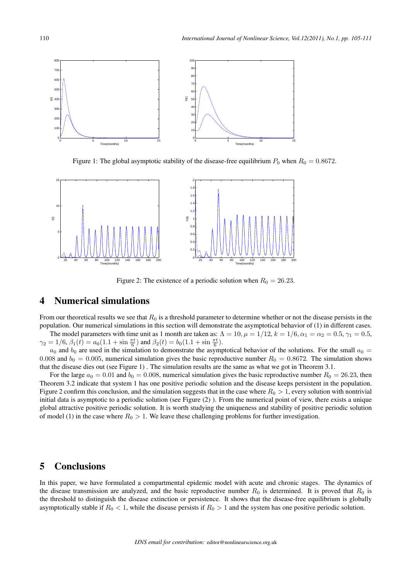

Figure 1: The global asymptotic stability of the disease-free equilibrium  $P_0$  when  $R_0 = 0.8672$ .



Figure 2: The existence of a periodic solution when  $R_0 = 26.23$ .

### 4 Numerical simulations

From our theoretical results we see that  $R_0$  is a threshold parameter to determine whether or not the disease persists in the population. Our numerical simulations in this section will demonstrate the asymptotical behavior of (1) in different cases.

The model parameters with time unit as 1 month are taken as:  $\Lambda = 10$ ,  $\mu = 1/12$ ,  $k = 1/6$ ,  $\alpha_1 = \alpha_2 = 0.5$ ,  $\gamma_1 = 0.5$ ,  $\gamma_2 = 1/6$ ,  $\beta_1(t) = a_0(1.1 + \sin \frac{\pi t}{6})$  and  $\beta_2(t) = b_0(1.1 + \sin \frac{\pi t}{6})$ .

 $a_0$  and  $b_0$  are used in the simulation to demonstrate the asymptotical behavior of the solutions. For the small  $a_0 =$ 0.008 and  $b_0 = 0.005$ , numerical simulation gives the basic reproductive number  $R_0 = 0.8672$ . The simulation shows that the disease dies out (see Figure 1) . The simulation results are the same as what we got in Theorem 3.1.

For the large  $a_0 = 0.01$  and  $b_0 = 0.008$ , numerical simulation gives the basic reproductive number  $R_0 = 26.23$ , then Theorem 3.2 indicate that system 1 has one positive periodic solution and the disease keeps persistent in the population. Figure 2 confirm this conclusion, and the simulation suggests that in the case where  $R_0 > 1$ , every solution with nontrivial initial data is asymptotic to a periodic solution (see Figure (2) ). From the numerical point of view, there exists a unique global attractive positive periodic solution. It is worth studying the uniqueness and stability of positive periodic solution of model (1) in the case where  $R_0 > 1$ . We leave these challenging problems for further investigation.

### 5 Conclusions

In this paper, we have formulated a compartmental epidemic model with acute and chronic stages. The dynamics of the disease transmission are analyzed, and the basic reproductive number  $R_0$  is determined. It is proved that  $R_0$  is the threshold to distinguish the disease extinction or persistence. It shows that the disease-free equilibrium is globally asymptotically stable if  $R_0 < 1$ , while the disease persists if  $R_0 > 1$  and the system has one positive periodic solution.